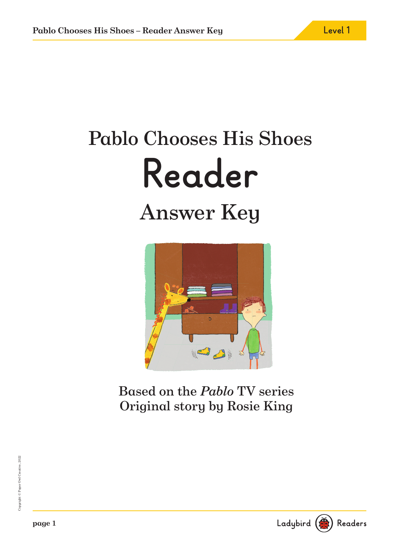# Pablo Chooses His Shoes **Reader** Answer Key



Based on the Pablo TV series Original story by Rosie King

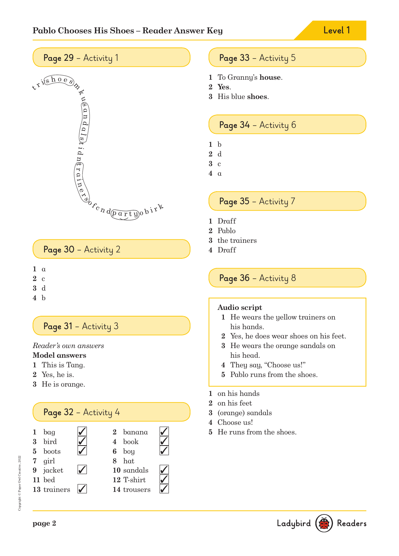



## **Page 30** – Activity 2

- **1** a
- **2** c
- **3** d
- **4** b

## Page 31 - Activity 3

Reader's own answers

## **Model answers**

- **1** This is Tang.
- **2** Yes, he is.
- **3** He is orange.

# **Page 32** – Activity 4

| 1 $bag$     |  | $2$ banana  |  |
|-------------|--|-------------|--|
| 3 bird      |  | 4 book      |  |
| 5 boots     |  | $6$ boy     |  |
| 7 girl      |  | 8 hat       |  |
| 9 jacket    |  | 10 sandals  |  |
| 11 bed      |  | 12 T-shirt  |  |
| 13 trainers |  | 14 trousers |  |

## **Page 33** – Activity 5

- **1** To Granny's **house**.
- **2 Yes**.
- **3** His blue **shoes**.

## **Page 34** – Activity 6

- **1** b
- **2** d
- **3** c
- **4** a

## **Page 35** – Activity 7

- **1** Draff
- **2** Pablo
- **3** the trainers
- **4** Draff

## **Page 36** – Activity 8

#### **Audio script**

- **1** He wears the yellow trainers on his hands.
- **2** Yes, he does wear shoes on his feet.
- **3** He wears the orange sandals on his head.
- **4** They say, "Choose us!"
- **5** Pablo runs from the shoes.
- **1** on his hands
- **2** on his feet
- **3** (orange) sandals
- **4** Choose us!
- **5** He runs from the shoes.